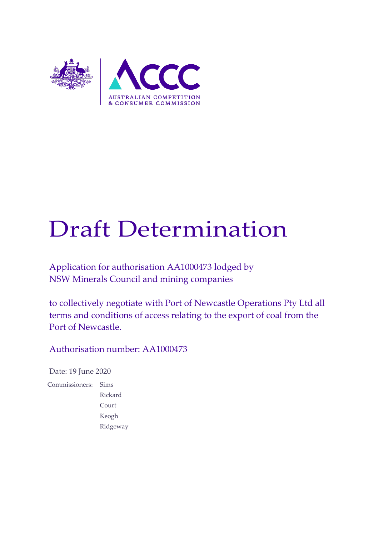

# Draft Determination

Application for authorisation AA1000473 lodged by NSW Minerals Council and mining companies

to collectively negotiate with Port of Newcastle Operations Pty Ltd all terms and conditions of access relating to the export of coal from the Port of Newcastle.

Authorisation number: AA1000473

Date: 19 June 2020

Commissioners: Sims Rickard Court Keogh Ridgeway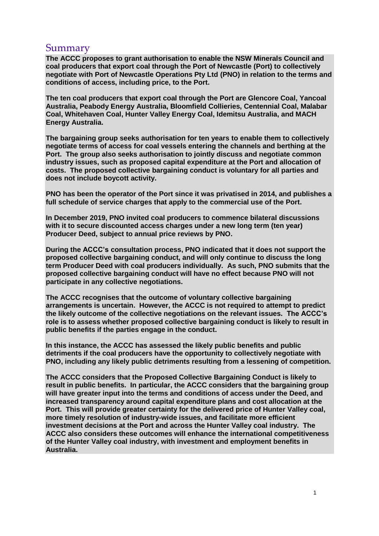## Summary

**The ACCC proposes to grant authorisation to enable the NSW Minerals Council and coal producers that export coal through the Port of Newcastle (Port) to collectively negotiate with Port of Newcastle Operations Pty Ltd (PNO) in relation to the terms and conditions of access, including price, to the Port.**

**The ten coal producers that export coal through the Port are Glencore Coal, Yancoal Australia, Peabody Energy Australia, Bloomfield Collieries, Centennial Coal, Malabar Coal, Whitehaven Coal, Hunter Valley Energy Coal, Idemitsu Australia, and MACH Energy Australia.**

**The bargaining group seeks authorisation for ten years to enable them to collectively negotiate terms of access for coal vessels entering the channels and berthing at the Port. The group also seeks authorisation to jointly discuss and negotiate common industry issues, such as proposed capital expenditure at the Port and allocation of costs. The proposed collective bargaining conduct is voluntary for all parties and does not include boycott activity.**

**PNO has been the operator of the Port since it was privatised in 2014, and publishes a full schedule of service charges that apply to the commercial use of the Port.** 

**In December 2019, PNO invited coal producers to commence bilateral discussions with it to secure discounted access charges under a new long term (ten year) Producer Deed, subject to annual price reviews by PNO.**

**During the ACCC's consultation process, PNO indicated that it does not support the proposed collective bargaining conduct, and will only continue to discuss the long term Producer Deed with coal producers individually. As such, PNO submits that the proposed collective bargaining conduct will have no effect because PNO will not participate in any collective negotiations.** 

**The ACCC recognises that the outcome of voluntary collective bargaining arrangements is uncertain. However, the ACCC is not required to attempt to predict the likely outcome of the collective negotiations on the relevant issues. The ACCC's role is to assess whether proposed collective bargaining conduct is likely to result in public benefits if the parties engage in the conduct.** 

**In this instance, the ACCC has assessed the likely public benefits and public detriments if the coal producers have the opportunity to collectively negotiate with PNO, including any likely public detriments resulting from a lessening of competition.**

**The ACCC considers that the Proposed Collective Bargaining Conduct is likely to result in public benefits. In particular, the ACCC considers that the bargaining group will have greater input into the terms and conditions of access under the Deed, and increased transparency around capital expenditure plans and cost allocation at the Port. This will provide greater certainty for the delivered price of Hunter Valley coal, more timely resolution of industry-wide issues, and facilitate more efficient investment decisions at the Port and across the Hunter Valley coal industry. The ACCC also considers these outcomes will enhance the international competitiveness of the Hunter Valley coal industry, with investment and employment benefits in Australia.**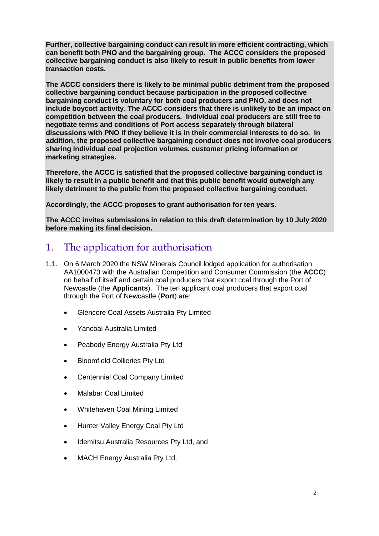**Further, collective bargaining conduct can result in more efficient contracting, which can benefit both PNO and the bargaining group. The ACCC considers the proposed collective bargaining conduct is also likely to result in public benefits from lower transaction costs.** 

**The ACCC considers there is likely to be minimal public detriment from the proposed collective bargaining conduct because participation in the proposed collective bargaining conduct is voluntary for both coal producers and PNO, and does not include boycott activity. The ACCC considers that there is unlikely to be an impact on competition between the coal producers. Individual coal producers are still free to negotiate terms and conditions of Port access separately through bilateral discussions with PNO if they believe it is in their commercial interests to do so. In addition, the proposed collective bargaining conduct does not involve coal producers sharing individual coal projection volumes, customer pricing information or marketing strategies.**

**Therefore, the ACCC is satisfied that the proposed collective bargaining conduct is likely to result in a public benefit and that this public benefit would outweigh any likely detriment to the public from the proposed collective bargaining conduct.** 

**Accordingly, the ACCC proposes to grant authorisation for ten years.**

**The ACCC invites submissions in relation to this draft determination by 10 July 2020 before making its final decision.**

# 1. The application for authorisation

- 1.1. On 6 March 2020 the NSW Minerals Council lodged application for authorisation AA1000473 with the Australian Competition and Consumer Commission (the **ACCC**) on behalf of itself and certain coal producers that export coal through the Port of Newcastle (the **Applicants**). The ten applicant coal producers that export coal through the Port of Newcastle (**Port**) are:
	- Glencore Coal Assets Australia Pty Limited
	- Yancoal Australia Limited
	- Peabody Energy Australia Pty Ltd
	- Bloomfield Collieries Pty Ltd
	- Centennial Coal Company Limited
	- Malabar Coal Limited
	- Whitehaven Coal Mining Limited
	- Hunter Valley Energy Coal Pty Ltd
	- Idemitsu Australia Resources Pty Ltd, and
	- MACH Energy Australia Pty Ltd.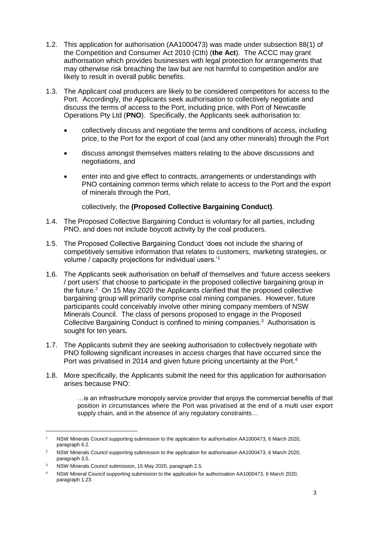- 1.2. This application for authorisation (AA1000473) was made under subsection 88(1) of the Competition and Consumer Act 2010 (Cth) (**the Act**). The ACCC may grant authorisation which provides businesses with legal protection for arrangements that may otherwise risk breaching the law but are not harmful to competition and/or are likely to result in overall public benefits.
- 1.3. The Applicant coal producers are likely to be considered competitors for access to the Port. Accordingly, the Applicants seek authorisation to collectively negotiate and discuss the terms of access to the Port, including price, with Port of Newcastle Operations Pty Ltd (**PNO**). Specifically, the Applicants seek authorisation to:
	- collectively discuss and negotiate the terms and conditions of access, including price, to the Port for the export of coal (and any other minerals) through the Port
	- discuss amongst themselves matters relating to the above discussions and negotiations, and
	- enter into and give effect to contracts, arrangements or understandings with PNO containing common terms which relate to access to the Port and the export of minerals through the Port,

collectively, the **(Proposed Collective Bargaining Conduct)**.

- 1.4. The Proposed Collective Bargaining Conduct is voluntary for all parties, including PNO, and does not include boycott activity by the coal producers.
- 1.5. The Proposed Collective Bargaining Conduct 'does not include the sharing of competitively sensitive information that relates to customers, marketing strategies, or volume / capacity projections for individual users.'<sup>1</sup>
- 1.6. The Applicants seek authorisation on behalf of themselves and 'future access seekers / port users' that choose to participate in the proposed collective bargaining group in the future. $2$  On 15 May 2020 the Applicants clarified that the proposed collective bargaining group will primarily comprise coal mining companies. However, future participants could conceivably involve other mining company members of NSW Minerals Council. The class of persons proposed to engage in the Proposed Collective Bargaining Conduct is confined to mining companies.<sup>3</sup> Authorisation is sought for ten years.
- 1.7. The Applicants submit they are seeking authorisation to collectively negotiate with PNO following significant increases in access charges that have occurred since the Port was privatised in 2014 and given future pricing uncertainty at the Port.<sup>4</sup>
- 1.8. More specifically, the Applicants submit the need for this application for authorisation arises because PNO:

…is an infrastructure monopoly service provider that enjoys the commercial benefits of that position in circumstances where the Port was privatised at the end of a multi user export supply chain, and in the absence of any regulatory constraints…

<sup>1</sup> NSW Minerals Council supporting submission to the application for authorisation AA1000473, 6 March 2020, paragraph 6.2.

<sup>&</sup>lt;sup>2</sup> NSW Minerals Council supporting submission to the application for authorisation AA1000473, 6 March 2020, paragraph 3.5.

<sup>&</sup>lt;sup>3</sup> NSW Minerals Council submission, 15 May 2020, paragraph 2.5.

<sup>4</sup> NSW Mineral Council supporting submission to the application for authorisation AA1000473, 6 March 2020, paragraph 1.23.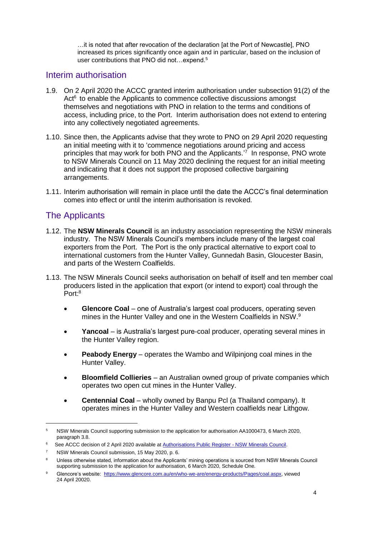…it is noted that after revocation of the declaration [at the Port of Newcastle], PNO increased its prices significantly once again and in particular, based on the inclusion of user contributions that PNO did not...expend.<sup>5</sup>

## Interim authorisation

- 1.9. On 2 April 2020 the ACCC granted interim authorisation under subsection 91(2) of the Act<sup>6</sup> to enable the Applicants to commence collective discussions amongst themselves and negotiations with PNO in relation to the terms and conditions of access, including price, to the Port. Interim authorisation does not extend to entering into any collectively negotiated agreements.
- 1.10. Since then, the Applicants advise that they wrote to PNO on 29 April 2020 requesting an initial meeting with it to 'commence negotiations around pricing and access principles that may work for both PNO and the Applicants.<sup>7</sup> In response, PNO wrote to NSW Minerals Council on 11 May 2020 declining the request for an initial meeting and indicating that it does not support the proposed collective bargaining arrangements.
- 1.11. Interim authorisation will remain in place until the date the ACCC's final determination comes into effect or until the interim authorisation is revoked.

## The Applicants

- 1.12. The **NSW Minerals Council** is an industry association representing the NSW minerals industry. The NSW Minerals Council's members include many of the largest coal exporters from the Port. The Port is the only practical alternative to export coal to international customers from the Hunter Valley, Gunnedah Basin, Gloucester Basin, and parts of the Western Coalfields.
- 1.13. The NSW Minerals Council seeks authorisation on behalf of itself and ten member coal producers listed in the application that export (or intend to export) coal through the Port:<sup>8</sup>
	- **Glencore Coal** one of Australia's largest coal producers, operating seven mines in the Hunter Valley and one in the Western Coalfields in NSW.<sup>9</sup>
	- **Yancoal** is Australia's largest pure-coal producer, operating several mines in the Hunter Valley region.
	- **Peabody Energy** operates the Wambo and Wilpinjong coal mines in the Hunter Valley.
	- **Bloomfield Collieries** an Australian owned group of private companies which operates two open cut mines in the Hunter Valley.
	- **Centennial Coal** wholly owned by Banpu Pcl (a Thailand company). It operates mines in the Hunter Valley and Western coalfields near Lithgow.

<sup>5</sup> NSW Minerals Council supporting submission to the application for authorisation AA1000473, 6 March 2020, paragraph 3.8.

<sup>&</sup>lt;sup>6</sup> See ACCC decision of 2 April 2020 available a[t Authorisations Public Register -](https://www.accc.gov.au/public-registers/authorisations-and-notifications-registers/authorisations-register/new-south-wales-minerals-council-nswmc) NSW Minerals Council.

<sup>7</sup> NSW Minerals Council submission, 15 May 2020, p. 6.

<sup>8</sup> Unless otherwise stated, information about the Applicants' mining operations is sourced from NSW Minerals Council supporting submission to the application for authorisation, 6 March 2020, Schedule One.

<sup>9</sup> Glencore's website: [https://www.glencore.com.au/en/who-we-are/energy-products/Pages/coal.aspx,](https://www.glencore.com.au/en/who-we-are/energy-products/Pages/coal.aspx) viewed 24 April 20020.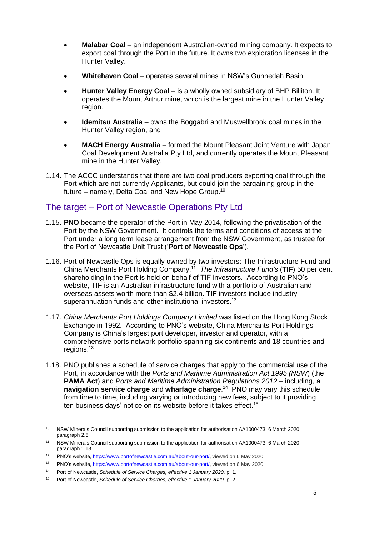- **Malabar Coal** an independent Australian-owned mining company. It expects to export coal through the Port in the future. It owns two exploration licenses in the Hunter Valley.
- **Whitehaven Coal** operates several mines in NSW's Gunnedah Basin.
- **Hunter Valley Energy Coal** is a wholly owned subsidiary of BHP Billiton. It operates the Mount Arthur mine, which is the largest mine in the Hunter Valley region.
- **Idemitsu Australia** owns the Boggabri and Muswellbrook coal mines in the Hunter Valley region, and
- **MACH Energy Australia** formed the Mount Pleasant Joint Venture with Japan Coal Development Australia Pty Ltd, and currently operates the Mount Pleasant mine in the Hunter Valley.
- 1.14. The ACCC understands that there are two coal producers exporting coal through the Port which are not currently Applicants, but could join the bargaining group in the future – namely, Delta Coal and New Hope Group.<sup>10</sup>

## The target – Port of Newcastle Operations Pty Ltd

- 1.15. **PNO** became the operator of the Port in May 2014, following the privatisation of the Port by the NSW Government. It controls the terms and conditions of access at the Port under a long term lease arrangement from the NSW Government, as trustee for the Port of Newcastle Unit Trust ('**Port of Newcastle Ops**').
- 1.16. Port of Newcastle Ops is equally owned by two investors: The Infrastructure Fund and China Merchants Port Holding Company.<sup>11</sup> *The Infrastructure Fund's* (**TIF**) 50 per cent shareholding in the Port is held on behalf of TIF investors. According to PNO's website, TIF is an Australian infrastructure fund with a portfolio of Australian and overseas assets worth more than \$2.4 billion. TIF investors include industry superannuation funds and other institutional investors.<sup>12</sup>
- 1.17. *China Merchants Port Holdings Company Limited* was listed on the Hong Kong Stock Exchange in 1992. According to PNO's website, China Merchants Port Holdings Company is China's largest port developer, investor and operator, with a comprehensive ports network portfolio spanning six continents and 18 countries and regions.<sup>13</sup>
- 1.18. PNO publishes a schedule of service charges that apply to the commercial use of the Port, in accordance with the *Ports and Maritime Administration Act 1995 (NSW*) (the **PAMA Act**) and *Ports and Maritime Administration Regulations 2012 –* including, a **navigation service charge** and **wharfage charge**. 14 PNO may vary this schedule from time to time, including varying or introducing new fees, subject to it providing ten business days' notice on its website before it takes effect. 15

<sup>10</sup> NSW Minerals Council supporting submission to the application for authorisation AA1000473, 6 March 2020, paragraph 2.6.

<sup>11</sup> NSW Minerals Council supporting submission to the application for authorisation AA1000473, 6 March 2020, paragraph 1.18.

<sup>12</sup> PNO's website, [https://www.portofnewcastle.com.au/about-our-port/,](https://www.portofnewcastle.com.au/about-our-port/) viewed on 6 May 2020.

<sup>&</sup>lt;sup>13</sup> PNO's website, [https://www.portofnewcastle.com.au/about-our-port/,](https://www.portofnewcastle.com.au/about-our-port/) viewed on 6 May 2020.

<sup>14</sup> Port of Newcastle, *Schedule of Service Charges, effective 1 January 2020,* p. 1.

<sup>15</sup> Port of Newcastle, *Schedule of Service Charges, effective 1 January 2020,* p. 2.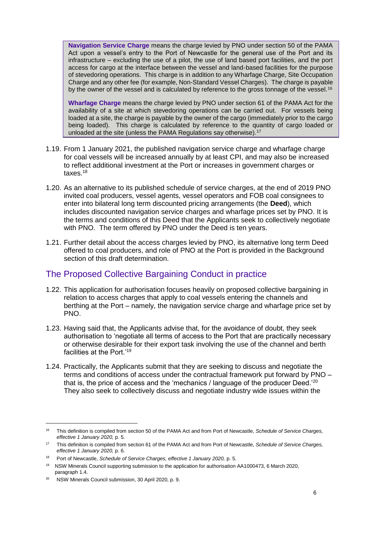**Navigation Service Charge** means the charge levied by PNO under section 50 of the PAMA Act upon a vessel's entry to the Port of Newcastle for the general use of the Port and its infrastructure – excluding the use of a pilot, the use of land based port facilities, and the port access for cargo at the interface between the vessel and land-based facilities for the purpose of stevedoring operations. This charge is in addition to any Wharfage Charge, Site Occupation Charge and any other fee (for example, Non-Standard Vessel Charges). The charge is payable by the owner of the vessel and is calculated by reference to the gross tonnage of the vessel.<sup>16</sup>

**Wharfage Charge** means the charge levied by PNO under section 61 of the PAMA Act for the availability of a site at which stevedoring operations can be carried out. For vessels being loaded at a site, the charge is payable by the owner of the cargo (immediately prior to the cargo being loaded). This charge is calculated by reference to the quantity of cargo loaded or unloaded at the site (unless the PAMA Regulations say otherwise).<sup>17</sup>

- 1.19. From 1 January 2021, the published navigation service charge and wharfage charge for coal vessels will be increased annually by at least CPI, and may also be increased to reflect additional investment at the Port or increases in government charges or taxes.<sup>18</sup>
- 1.20. As an alternative to its published schedule of service charges, at the end of 2019 PNO invited coal producers, vessel agents, vessel operators and FOB coal consignees to enter into bilateral long term discounted pricing arrangements (the **Deed**), which includes discounted navigation service charges and wharfage prices set by PNO. It is the terms and conditions of this Deed that the Applicants seek to collectively negotiate with PNO. The term offered by PNO under the Deed is ten years.
- 1.21. Further detail about the access charges levied by PNO, its alternative long term Deed offered to coal producers, and role of PNO at the Port is provided in the Background section of this draft determination.

## The Proposed Collective Bargaining Conduct in practice

- 1.22. This application for authorisation focuses heavily on proposed collective bargaining in relation to access charges that apply to coal vessels entering the channels and berthing at the Port – namely, the navigation service charge and wharfage price set by PNO.
- 1.23. Having said that, the Applicants advise that, for the avoidance of doubt, they seek authorisation to 'negotiate all terms of access to the Port that are practically necessary or otherwise desirable for their export task involving the use of the channel and berth facilities at the Port.'<sup>19</sup>
- 1.24. Practically, the Applicants submit that they are seeking to discuss and negotiate the terms and conditions of access under the contractual framework put forward by PNO – that is, the price of access and the 'mechanics / language of the producer Deed.'<sup>20</sup> They also seek to collectively discuss and negotiate industry wide issues within the

<sup>16</sup> This definition is compiled from section 50 of the PAMA Act and from Port of Newcastle, *Schedule of Service Charges, effective 1 January 2020,* p. 5.

<sup>17</sup> This definition is compiled from section 61 of the PAMA Act and from Port of Newcastle, *Schedule of Service Charges, effective 1 January 2020,* p. 6.

<sup>&</sup>lt;sup>18</sup> Port of Newcastle, *Schedule of Service Charges, effective 1 January 2020, p. 5.* 

<sup>19</sup> NSW Minerals Council supporting submission to the application for authorisation AA1000473, 6 March 2020, paragraph 1.4.

<sup>20</sup> NSW Minerals Council submission, 30 April 2020, p. 9.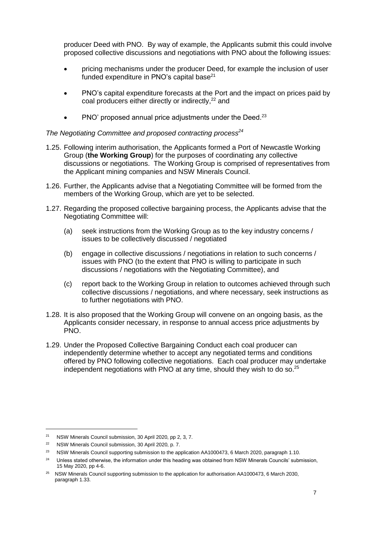producer Deed with PNO. By way of example, the Applicants submit this could involve proposed collective discussions and negotiations with PNO about the following issues:

- pricing mechanisms under the producer Deed, for example the inclusion of user funded expenditure in PNO's capital base $^{21}$
- PNO's capital expenditure forecasts at the Port and the impact on prices paid by coal producers either directly or indirectly, <sup>22</sup> and
- PNO' proposed annual price adjustments under the Deed.<sup>23</sup>

#### *The Negotiating Committee and proposed contracting process<sup>24</sup>*

- <span id="page-7-0"></span>1.25. Following interim authorisation, the Applicants formed a Port of Newcastle Working Group (**the Working Group**) for the purposes of coordinating any collective discussions or negotiations. The Working Group is comprised of representatives from the Applicant mining companies and NSW Minerals Council.
- 1.26. Further, the Applicants advise that a Negotiating Committee will be formed from the members of the Working Group, which are yet to be selected.
- 1.27. Regarding the proposed collective bargaining process, the Applicants advise that the Negotiating Committee will:
	- (a) seek instructions from the Working Group as to the key industry concerns / issues to be collectively discussed / negotiated
	- (b) engage in collective discussions / negotiations in relation to such concerns / issues with PNO (to the extent that PNO is willing to participate in such discussions / negotiations with the Negotiating Committee), and
	- (c) report back to the Working Group in relation to outcomes achieved through such collective discussions / negotiations, and where necessary, seek instructions as to further negotiations with PNO.
- 1.28. It is also proposed that the Working Group will convene on an ongoing basis, as the Applicants consider necessary, in response to annual access price adjustments by PNO.
- <span id="page-7-1"></span>1.29. Under the Proposed Collective Bargaining Conduct each coal producer can independently determine whether to accept any negotiated terms and conditions offered by PNO following collective negotiations. Each coal producer may undertake independent negotiations with PNO at any time, should they wish to do so. $25$

<sup>21</sup> NSW Minerals Council submission, 30 April 2020, pp 2, 3, 7.

<sup>22</sup> NSW Minerals Council submission, 30 April 2020, p. 7.

<sup>&</sup>lt;sup>23</sup> NSW Minerals Council supporting submission to the application AA1000473, 6 March 2020, paragraph 1.10.

<sup>&</sup>lt;sup>24</sup> Unless stated otherwise, the information under this heading was obtained from NSW Minerals Councils' submission, 15 May 2020, pp 4-6.

<sup>&</sup>lt;sup>25</sup> NSW Minerals Council supporting submission to the application for authorisation AA1000473, 6 March 2030, paragraph 1.33.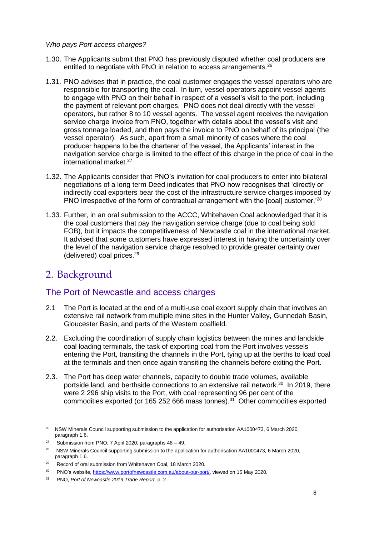#### *Who pays Port access charges?*

- 1.30. The Applicants submit that PNO has previously disputed whether coal producers are entitled to negotiate with PNO in relation to access arrangements. $26$
- 1.31. PNO advises that in practice, the coal customer engages the vessel operators who are responsible for transporting the coal. In turn, vessel operators appoint vessel agents to engage with PNO on their behalf in respect of a vessel's visit to the port, including the payment of relevant port charges. PNO does not deal directly with the vessel operators, but rather 8 to 10 vessel agents. The vessel agent receives the navigation service charge invoice from PNO, together with details about the vessel's visit and gross tonnage loaded, and then pays the invoice to PNO on behalf of its principal (the vessel operator). As such, apart from a small minority of cases where the coal producer happens to be the charterer of the vessel, the Applicants' interest in the navigation service charge is limited to the effect of this charge in the price of coal in the international market.<sup>27</sup>
- 1.32. The Applicants consider that PNO's invitation for coal producers to enter into bilateral negotiations of a long term Deed indicates that PNO now recognises that 'directly or indirectly coal exporters bear the cost of the infrastructure service charges imposed by PNO irrespective of the form of contractual arrangement with the [coal] customer.'<sup>28</sup>
- 1.33. Further, in an oral submission to the ACCC, Whitehaven Coal acknowledged that it is the coal customers that pay the navigation service charge (due to coal being sold FOB), but it impacts the competitiveness of Newcastle coal in the international market. It advised that some customers have expressed interest in having the uncertainty over the level of the navigation service charge resolved to provide greater certainty over (delivered) coal prices.<sup>29</sup>

# 2. Background

-

## The Port of Newcastle and access charges

- 2.1 The Port is located at the end of a multi-use coal export supply chain that involves an extensive rail network from multiple mine sites in the Hunter Valley, Gunnedah Basin, Gloucester Basin, and parts of the Western coalfield.
- 2.2. Excluding the coordination of supply chain logistics between the mines and landside coal loading terminals, the task of exporting coal from the Port involves vessels entering the Port, transiting the channels in the Port, tying up at the berths to load coal at the terminals and then once again transiting the channels before exiting the Port.
- 2.3. The Port has deep water channels, capacity to double trade volumes, available portside land, and berthside connections to an extensive rail network.<sup>30</sup> In 2019, there were 2 296 ship visits to the Port, with coal representing 96 per cent of the commodities exported (or 165 252 666 mass tonnes). <sup>31</sup> Other commodities exported

<sup>&</sup>lt;sup>26</sup> NSW Minerals Council supporting submission to the application for authorisation AA1000473, 6 March 2020, paragraph 1.6.

<sup>&</sup>lt;sup>27</sup> Submission from PNO, 7 April 2020, paragraphs  $48 - 49$ .

<sup>&</sup>lt;sup>28</sup> NSW Minerals Council supporting submission to the application for authorisation AA1000473, 6 March 2020, paragraph 1.6.

<sup>29</sup> Record of oral submission from Whitehaven Coal, 18 March 2020.

<sup>&</sup>lt;sup>30</sup> PNO's website, [https://www.portofnewcastle.com.au/about-our-port/,](https://www.portofnewcastle.com.au/about-our-port/) viewed on 15 May 2020.

<sup>31</sup> PNO, *Port of Newcastle 2019 Trade Report,* p. 2.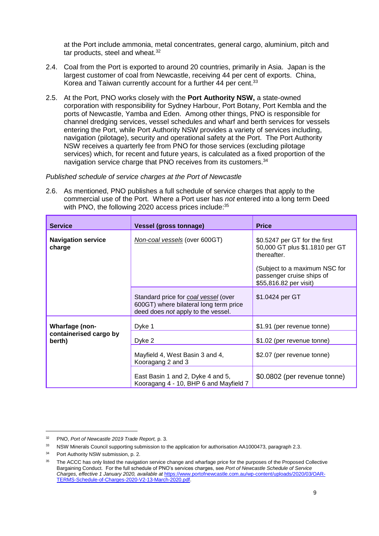at the Port include ammonia, metal concentrates, general cargo, aluminium, pitch and tar products, steel and wheat.<sup>32</sup>

- 2.4. Coal from the Port is exported to around 20 countries, primarily in Asia. Japan is the largest customer of coal from Newcastle, receiving 44 per cent of exports. China, Korea and Taiwan currently account for a further 44 per cent.<sup>33</sup>
- 2.5. At the Port, PNO works closely with the **Port Authority NSW,** a state-owned corporation with responsibility for Sydney Harbour, Port Botany, Port Kembla and the ports of Newcastle, Yamba and Eden. Among other things, PNO is responsible for channel dredging services, vessel schedules and wharf and berth services for vessels entering the Port, while Port Authority NSW provides a variety of services including, navigation (pilotage), security and operational safety at the Port. The Port Authority NSW receives a quarterly fee from PNO for those services (excluding pilotage services) which, for recent and future years, is calculated as a fixed proportion of the navigation service charge that PNO receives from its customers.<sup>34</sup>

#### *Published schedule of service charges at the Port of Newcastle*

<span id="page-9-0"></span>2.6. As mentioned, PNO publishes a full schedule of service charges that apply to the commercial use of the Port. Where a Port user has *not* entered into a long term Deed with PNO, the following 2020 access prices include:<sup>35</sup>

| <b>Service</b>                      | <b>Vessel (gross tonnage)</b>                                                                                        | <b>Price</b>                                                                                                                                                           |
|-------------------------------------|----------------------------------------------------------------------------------------------------------------------|------------------------------------------------------------------------------------------------------------------------------------------------------------------------|
| <b>Navigation service</b><br>charge | Non-coal vessels (over 600GT)                                                                                        | \$0.5247 per GT for the first<br>50,000 GT plus \$1.1810 per GT<br>thereafter.<br>(Subject to a maximum NSC for<br>passenger cruise ships of<br>\$55,816.82 per visit) |
|                                     | Standard price for coal vessel (over<br>600GT) where bilateral long term price<br>deed does not apply to the vessel. | \$1.0424 per GT                                                                                                                                                        |
| Wharfage (non-                      | Dyke 1                                                                                                               | \$1.91 (per revenue tonne)                                                                                                                                             |
| containerised cargo by<br>berth)    | Dyke 2                                                                                                               | \$1.02 (per revenue tonne)                                                                                                                                             |
|                                     | Mayfield 4, West Basin 3 and 4,<br>Kooragang 2 and 3                                                                 | \$2.07 (per revenue tonne)                                                                                                                                             |
|                                     | East Basin 1 and 2, Dyke 4 and 5,<br>Kooragang 4 - 10, BHP 6 and Mayfield 7                                          | \$0.0802 (per revenue tonne)                                                                                                                                           |

<sup>32</sup> PNO, *Port of Newcastle 2019 Trade Report,* p. 3.

<sup>&</sup>lt;sup>33</sup> NSW Minerals Council supporting submission to the application for authorisation AA1000473, paragraph 2.3.

Port Authority NSW submission, p. 2.

The ACCC has only listed the navigation service change and wharfage price for the purposes of the Proposed Collective Bargaining Conduct. For the full schedule of PNO's services charges, see *Port of Newcastle Schedule of Service Charges, effective 1 January 2020, available at* [https://www.portofnewcastle.com.au/wp-content/uploads/2020/03/OAR-](https://www.portofnewcastle.com.au/wp-content/uploads/2020/03/OAR-TERMS-Schedule-of-Charges-2020-V2-13-March-2020.pdf)[TERMS-Schedule-of-Charges-2020-V2-13-March-2020.pdf.](https://www.portofnewcastle.com.au/wp-content/uploads/2020/03/OAR-TERMS-Schedule-of-Charges-2020-V2-13-March-2020.pdf)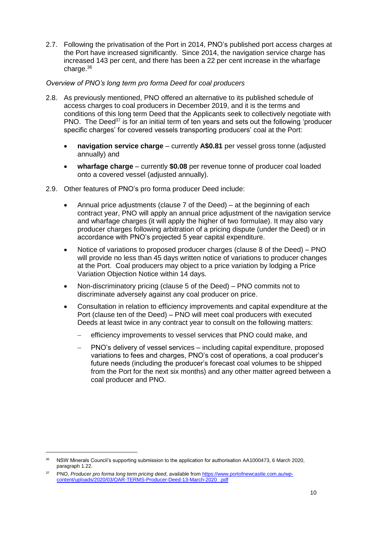2.7. Following the privatisation of the Port in 2014, PNO's published port access charges at the Port have increased significantly. Since 2014, the navigation service charge has increased 143 per cent, and there has been a 22 per cent increase in the wharfage charge.<sup>36</sup>

#### *Overview of PNO's long term pro forma Deed for coal producers*

- 2.8. As previously mentioned, PNO offered an alternative to its published schedule of access charges to coal producers in December 2019, and it is the terms and conditions of this long term Deed that the Applicants seek to collectively negotiate with PNO. The Deed<sup>37</sup> is for an initial term of ten years and sets out the following 'producer specific charges' for covered vessels transporting producers' coal at the Port:
	- **navigation service charge** currently **A\$0.81** per vessel gross tonne (adjusted annually) and
	- **wharfage charge** currently **\$0.08** per revenue tonne of producer coal loaded onto a covered vessel (adjusted annually).
- 2.9. Other features of PNO's pro forma producer Deed include:
	- Annual price adjustments (clause 7 of the Deed) at the beginning of each contract year, PNO will apply an annual price adjustment of the navigation service and wharfage charges (it will apply the higher of two formulae). It may also vary producer charges following arbitration of a pricing dispute (under the Deed) or in accordance with PNO's projected 5 year capital expenditure.
	- Notice of variations to proposed producer charges (clause 8 of the Deed) PNO will provide no less than 45 days written notice of variations to producer changes at the Port. Coal producers may object to a price variation by lodging a Price Variation Objection Notice within 14 days.
	- Non-discriminatory pricing (clause 5 of the Deed) PNO commits not to discriminate adversely against any coal producer on price.
	- Consultation in relation to efficiency improvements and capital expenditure at the Port (clause ten of the Deed) – PNO will meet coal producers with executed Deeds at least twice in any contract year to consult on the following matters:
		- efficiency improvements to vessel services that PNO could make, and
		- PNO's delivery of vessel services including capital expenditure, proposed variations to fees and charges, PNO's cost of operations, a coal producer's future needs (including the producer's forecast coal volumes to be shipped from the Port for the next six months) and any other matter agreed between a coal producer and PNO.

<sup>36</sup> NSW Minerals Council's supporting submission to the application for authorisation AA1000473, 6 March 2020, paragraph 1.22.

<sup>37</sup> PNO, *Producer pro forma long term pricing deed*, available fro[m https://www.portofnewcastle.com.au/wp](https://www.portofnewcastle.com.au/wp-content/uploads/2020/03/OAR-TERMS-Producer-Deed-13-March-2020_.pdf)[content/uploads/2020/03/OAR-TERMS-Producer-Deed-13-March-2020\\_.pdf](https://www.portofnewcastle.com.au/wp-content/uploads/2020/03/OAR-TERMS-Producer-Deed-13-March-2020_.pdf)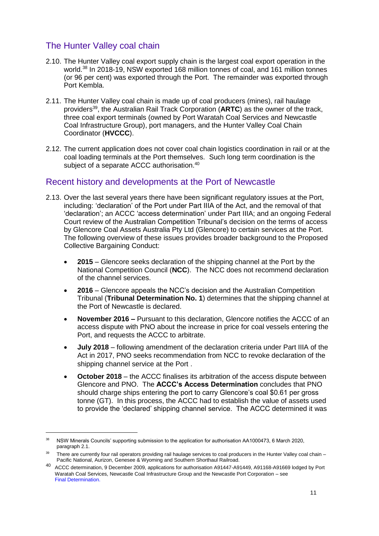## The Hunter Valley coal chain

- 2.10. The Hunter Valley coal export supply chain is the largest coal export operation in the world.<sup>38</sup> In 2018-19, NSW exported 168 million tonnes of coal, and 161 million tonnes (or 96 per cent) was exported through the Port. The remainder was exported through Port Kembla.
- 2.11. The Hunter Valley coal chain is made up of coal producers (mines), rail haulage providers<sup>39</sup>, the Australian Rail Track Corporation (**ARTC**) as the owner of the track, three coal export terminals (owned by Port Waratah Coal Services and Newcastle Coal Infrastructure Group), port managers, and the Hunter Valley Coal Chain Coordinator (**HVCCC**).
- 2.12. The current application does not cover coal chain logistics coordination in rail or at the coal loading terminals at the Port themselves. Such long term coordination is the subject of a separate ACCC authorisation.<sup>40</sup>

## Recent history and developments at the Port of Newcastle

- 2.13. Over the last several years there have been significant regulatory issues at the Port, including: 'declaration' of the Port under Part IIIA of the Act, and the removal of that 'declaration'; an ACCC 'access determination' under Part IIIA; and an ongoing Federal Court review of the Australian Competition Tribunal's decision on the terms of access by Glencore Coal Assets Australia Pty Ltd (Glencore) to certain services at the Port. The following overview of these issues provides broader background to the Proposed Collective Bargaining Conduct:
	- **2015**  Glencore seeks declaration of the shipping channel at the Port by the National Competition Council (**NCC**). The NCC does not recommend declaration of the channel services.
	- **2016**  Glencore appeals the NCC's decision and the Australian Competition Tribunal (**Tribunal Determination No. 1**) determines that the shipping channel at the Port of Newcastle is declared.
	- **November 2016 –** Pursuant to this declaration, Glencore notifies the ACCC of an access dispute with PNO about the increase in price for coal vessels entering the Port, and requests the ACCC to arbitrate.
	- **July 2018**  following amendment of the declaration criteria under Part IIIA of the Act in 2017, PNO seeks recommendation from NCC to revoke declaration of the shipping channel service at the Port .
	- **October 2018**  the ACCC finalises its arbitration of the access dispute between Glencore and PNO. The **ACCC's Access Determination** concludes that PNO should charge ships entering the port to carry Glencore's coal \$0.61 per gross tonne (GT). In this process, the ACCC had to establish the value of assets used to provide the 'declared' shipping channel service. The ACCC determined it was

<sup>&</sup>lt;sup>38</sup> NSW Minerals Councils' supporting submission to the application for authorisation AA1000473, 6 March 2020, paragraph 2.1.

<sup>&</sup>lt;sup>39</sup> There are currently four rail operators providing rail haulage services to coal producers in the Hunter Valley coal chain – Pacific National, Aurizon, Genesee & Wyoming and Southern Shorthaul Railroad.

<sup>40</sup> ACCC determination, 9 December 2009, applications for authorisation A91447-A91449, A91168-A91669 lodged by Port Waratah Coal Services, Newcastle Coal Infrastructure Group and the Newcastle Port Corporation – see Final Determination.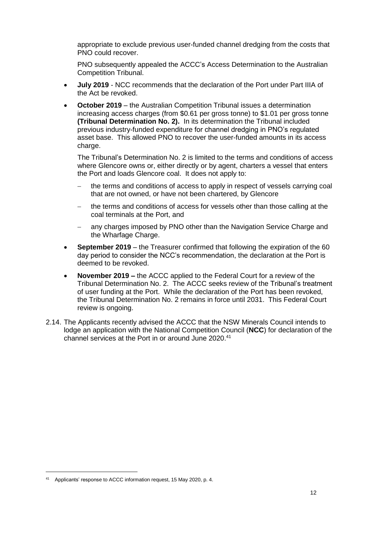appropriate to exclude previous user-funded channel dredging from the costs that PNO could recover.

PNO subsequently appealed the ACCC's Access Determination to the Australian Competition Tribunal.

- **July 2019** NCC recommends that the declaration of the Port under Part IIIA of the Act be revoked.
- **October 2019** the Australian Competition Tribunal issues a determination increasing access charges (from \$0.61 per gross tonne) to \$1.01 per gross tonne **(Tribunal Determination No. 2).** In its determination the Tribunal included previous industry-funded expenditure for channel dredging in PNO's regulated asset base. This allowed PNO to recover the user-funded amounts in its access charge.

The Tribunal's Determination No. 2 is limited to the terms and conditions of access where Glencore owns or, either directly or by agent, charters a vessel that enters the Port and loads Glencore coal. It does not apply to:

- the terms and conditions of access to apply in respect of vessels carrying coal that are not owned, or have not been chartered, by Glencore
- the terms and conditions of access for vessels other than those calling at the coal terminals at the Port, and
- any charges imposed by PNO other than the Navigation Service Charge and the Wharfage Charge.
- **September 2019** the Treasurer confirmed that following the expiration of the 60 day period to consider the NCC's recommendation, the declaration at the Port is deemed to be revoked.
- **November 2019 –** the ACCC applied to the Federal Court for a review of the Tribunal Determination No. 2. The ACCC seeks review of the Tribunal's treatment of user funding at the Port. While the declaration of the Port has been revoked, the Tribunal Determination No. 2 remains in force until 2031. This Federal Court review is ongoing.
- 2.14. The Applicants recently advised the ACCC that the NSW Minerals Council intends to lodge an application with the National Competition Council (**NCC**) for declaration of the channel services at the Port in or around June 2020. 41

<sup>41</sup> Applicants' response to ACCC information request, 15 May 2020, p. 4.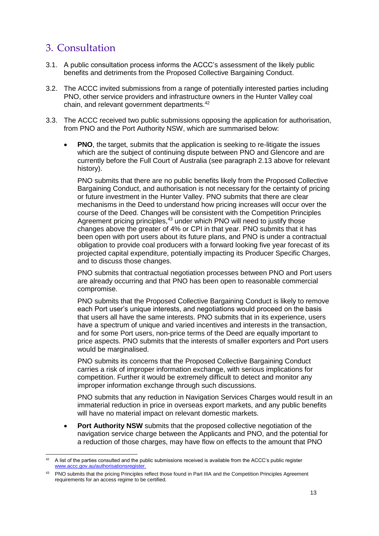# 3. Consultation

- 3.1. A public consultation process informs the ACCC's assessment of the likely public benefits and detriments from the Proposed Collective Bargaining Conduct.
- 3.2. The ACCC invited submissions from a range of potentially interested parties including PNO, other service providers and infrastructure owners in the Hunter Valley coal chain, and relevant government departments.<sup>42</sup>
- 3.3. The ACCC received two public submissions opposing the application for authorisation, from PNO and the Port Authority NSW, which are summarised below:
	- **PNO**, the target, submits that the application is seeking to re-litigate the issues which are the subject of continuing dispute between PNO and Glencore and are currently before the Full Court of Australia (see paragraph 2.13 above for relevant history).

PNO submits that there are no public benefits likely from the Proposed Collective Bargaining Conduct, and authorisation is not necessary for the certainty of pricing or future investment in the Hunter Valley. PNO submits that there are clear mechanisms in the Deed to understand how pricing increases will occur over the course of the Deed. Changes will be consistent with the Competition Principles Agreement pricing principles,<sup>43</sup> under which PNO will need to justify those changes above the greater of 4% or CPI in that year. PNO submits that it has been open with port users about its future plans, and PNO is under a contractual obligation to provide coal producers with a forward looking five year forecast of its projected capital expenditure, potentially impacting its Producer Specific Charges, and to discuss those changes.

PNO submits that contractual negotiation processes between PNO and Port users are already occurring and that PNO has been open to reasonable commercial compromise.

PNO submits that the Proposed Collective Bargaining Conduct is likely to remove each Port user's unique interests, and negotiations would proceed on the basis that users all have the same interests. PNO submits that in its experience, users have a spectrum of unique and varied incentives and interests in the transaction, and for some Port users, non-price terms of the Deed are equally important to price aspects. PNO submits that the interests of smaller exporters and Port users would be marginalised.

PNO submits its concerns that the Proposed Collective Bargaining Conduct carries a risk of improper information exchange, with serious implications for competition. Further it would be extremely difficult to detect and monitor any improper information exchange through such discussions.

PNO submits that any reduction in Navigation Services Charges would result in an immaterial reduction in price in overseas export markets, and any public benefits will have no material impact on relevant domestic markets.

 **Port Authority NSW** submits that the proposed collective negotiation of the navigation service charge between the Applicants and PNO, and the potential for a reduction of those charges, may have flow on effects to the amount that PNO

<sup>-</sup> $42$  A list of the parties consulted and the public submissions received is available from the ACCC's public register [www.accc.gov.au/authorisationsregister.](http://www.accc.gov.au/authorisationsregister)

<sup>&</sup>lt;sup>43</sup> PNO submits that the pricing Principles reflect those found in Part IIIA and the Competition Principles Agreement requirements for an access regime to be certified.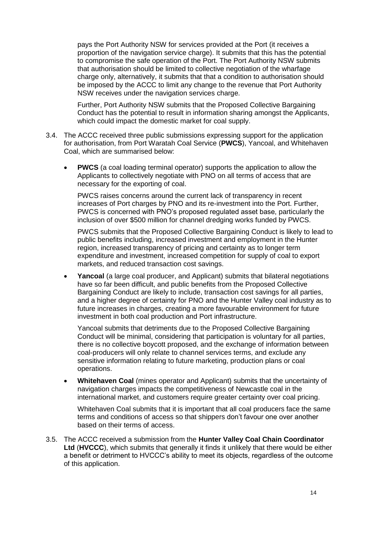pays the Port Authority NSW for services provided at the Port (it receives a proportion of the navigation service charge). It submits that this has the potential to compromise the safe operation of the Port. The Port Authority NSW submits that authorisation should be limited to collective negotiation of the wharfage charge only, alternatively, it submits that that a condition to authorisation should be imposed by the ACCC to limit any change to the revenue that Port Authority NSW receives under the navigation services charge.

Further, Port Authority NSW submits that the Proposed Collective Bargaining Conduct has the potential to result in information sharing amongst the Applicants, which could impact the domestic market for coal supply.

- 3.4. The ACCC received three public submissions expressing support for the application for authorisation, from Port Waratah Coal Service (**PWCS**), Yancoal, and Whitehaven Coal, which are summarised below:
	- **PWCS** (a coal loading terminal operator) supports the application to allow the Applicants to collectively negotiate with PNO on all terms of access that are necessary for the exporting of coal.

PWCS raises concerns around the current lack of transparency in recent increases of Port charges by PNO and its re-investment into the Port. Further, PWCS is concerned with PNO's proposed regulated asset base, particularly the inclusion of over \$500 million for channel dredging works funded by PWCS.

PWCS submits that the Proposed Collective Bargaining Conduct is likely to lead to public benefits including, increased investment and employment in the Hunter region, increased transparency of pricing and certainty as to longer term expenditure and investment, increased competition for supply of coal to export markets, and reduced transaction cost savings.

 **Yancoal** (a large coal producer, and Applicant) submits that bilateral negotiations have so far been difficult, and public benefits from the Proposed Collective Bargaining Conduct are likely to include, transaction cost savings for all parties, and a higher degree of certainty for PNO and the Hunter Valley coal industry as to future increases in charges, creating a more favourable environment for future investment in both coal production and Port infrastructure.

Yancoal submits that detriments due to the Proposed Collective Bargaining Conduct will be minimal, considering that participation is voluntary for all parties, there is no collective boycott proposed, and the exchange of information between coal-producers will only relate to channel services terms, and exclude any sensitive information relating to future marketing, production plans or coal operations.

 **Whitehaven Coal** (mines operator and Applicant) submits that the uncertainty of navigation charges impacts the competitiveness of Newcastle coal in the international market, and customers require greater certainty over coal pricing.

Whitehaven Coal submits that it is important that all coal producers face the same terms and conditions of access so that shippers don't favour one over another based on their terms of access.

3.5. The ACCC received a submission from the **Hunter Valley Coal Chain Coordinator Ltd** (**HVCCC**), which submits that generally it finds it unlikely that there would be either a benefit or detriment to HVCCC's ability to meet its objects, regardless of the outcome of this application.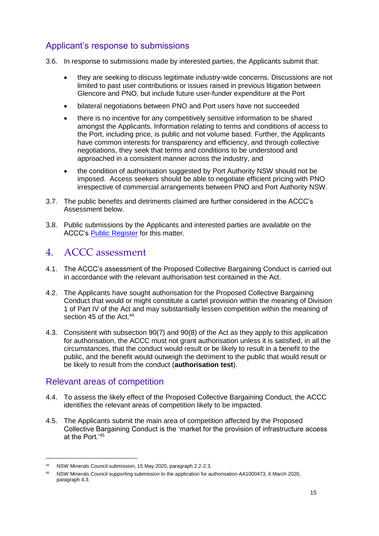## Applicant's response to submissions

- 3.6. In response to submissions made by interested parties, the Applicants submit that:
	- they are seeking to discuss legitimate industry-wide concerns. Discussions are not limited to past user contributions or issues raised in previous litigation between Glencore and PNO, but include future user-funder expenditure at the Port
	- bilateral negotiations between PNO and Port users have not succeeded
	- there is no incentive for any competitively sensitive information to be shared amongst the Applicants. Information relating to terms and conditions of access to the Port, including price, is public and not volume based. Further, the Applicants have common interests for transparency and efficiency, and through collective negotiations, they seek that terms and conditions to be understood and approached in a consistent manner across the industry, and
	- the condition of authorisation suggested by Port Authority NSW should not be imposed. Access seekers should be able to negotiate efficient pricing with PNO irrespective of commercial arrangements between PNO and Port Authority NSW.
- 3.7. The public benefits and detriments claimed are further considered in the ACCC's Assessment below.
- 3.8. Public submissions by the Applicants and interested parties are available on the ACCC's [Public Register](https://www.accc.gov.au/public-registers/authorisations-and-notifications-registers/authorisations-register/new-south-wales-minerals-council-nswmc) for this matter.

# 4. ACCC assessment

- 4.1. The ACCC's assessment of the Proposed Collective Bargaining Conduct is carried out in accordance with the relevant authorisation test contained in the Act.
- 4.2. The Applicants have sought authorisation for the Proposed Collective Bargaining Conduct that would or might constitute a cartel provision within the meaning of Division 1 of Part IV of the Act and may substantially lessen competition within the meaning of section 45 of the Act.<sup>44</sup>
- 4.3. Consistent with subsection 90(7) and 90(8) of the Act as they apply to this application for authorisation, the ACCC must not grant authorisation unless it is satisfied, in all the circumstances, that the conduct would result or be likely to result in a benefit to the public, and the benefit would outweigh the detriment to the public that would result or be likely to result from the conduct (**authorisation test**).

## Relevant areas of competition

- 4.4. To assess the likely effect of the Proposed Collective Bargaining Conduct, the ACCC identifies the relevant areas of competition likely to be impacted.
- 4.5. The Applicants submit the main area of competition affected by the Proposed Collective Bargaining Conduct is the 'market for the provision of infrastructure access at the Port.'<sup>45</sup>

<sup>44</sup> NSW Minerals Council submission, 15 May 2020, paragraph 2.2-2.3.

<sup>45</sup> NSW Minerals Council supporting submission to the application for authorisation AA1000473, 6 March 2020, paragraph 4.3.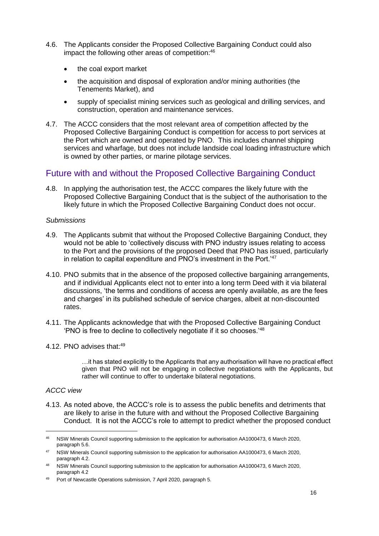- 4.6. The Applicants consider the Proposed Collective Bargaining Conduct could also impact the following other areas of competition:<sup>46</sup>
	- the coal export market
	- the acquisition and disposal of exploration and/or mining authorities (the Tenements Market), and
	- supply of specialist mining services such as geological and drilling services, and construction, operation and maintenance services.
- 4.7. The ACCC considers that the most relevant area of competition affected by the Proposed Collective Bargaining Conduct is competition for access to port services at the Port which are owned and operated by PNO. This includes channel shipping services and wharfage, but does not include landside coal loading infrastructure which is owned by other parties, or marine pilotage services.

## Future with and without the Proposed Collective Bargaining Conduct

4.8. In applying the authorisation test, the ACCC compares the likely future with the Proposed Collective Bargaining Conduct that is the subject of the authorisation to the likely future in which the Proposed Collective Bargaining Conduct does not occur.

#### *Submissions*

- 4.9. The Applicants submit that without the Proposed Collective Bargaining Conduct, they would not be able to 'collectively discuss with PNO industry issues relating to access to the Port and the provisions of the proposed Deed that PNO has issued, particularly in relation to capital expenditure and PNO's investment in the Port.'<sup>47</sup>
- 4.10. PNO submits that in the absence of the proposed collective bargaining arrangements, and if individual Applicants elect not to enter into a long term Deed with it via bilateral discussions, 'the terms and conditions of access are openly available, as are the fees and charges' in its published schedule of service charges, albeit at non-discounted rates.
- 4.11. The Applicants acknowledge that with the Proposed Collective Bargaining Conduct 'PNO is free to decline to collectively negotiate if it so chooses.'<sup>48</sup>
- 4.12. PNO advises that:<sup>49</sup>

…it has stated explicitly to the Applicants that any authorisation will have no practical effect given that PNO will not be engaging in collective negotiations with the Applicants, but rather will continue to offer to undertake bilateral negotiations.

#### *ACCC view*

-

4.13. As noted above, the ACCC's role is to assess the public benefits and detriments that are likely to arise in the future with and without the Proposed Collective Bargaining Conduct. It is not the ACCC's role to attempt to predict whether the proposed conduct

<sup>46</sup> NSW Minerals Council supporting submission to the application for authorisation AA1000473, 6 March 2020, paragraph 5.6.

<sup>47</sup> NSW Minerals Council supporting submission to the application for authorisation AA1000473, 6 March 2020, paragraph 4.2.

<sup>48</sup> NSW Minerals Council supporting submission to the application for authorisation AA1000473, 6 March 2020, paragraph 4.2

<sup>49</sup> Port of Newcastle Operations submission, 7 April 2020, paragraph 5.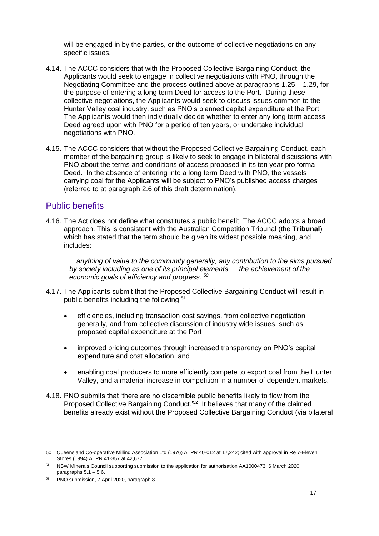will be engaged in by the parties, or the outcome of collective negotiations on any specific issues.

- 4.14. The ACCC considers that with the Proposed Collective Bargaining Conduct, the Applicants would seek to engage in collective negotiations with PNO, through the Negotiating Committee and the process outlined above at paragraphs [1.25](#page-7-0) – [1.29,](#page-7-1) for the purpose of entering a long term Deed for access to the Port. During these collective negotiations, the Applicants would seek to discuss issues common to the Hunter Valley coal industry, such as PNO's planned capital expenditure at the Port. The Applicants would then individually decide whether to enter any long term access Deed agreed upon with PNO for a period of ten years, or undertake individual negotiations with PNO.
- 4.15. The ACCC considers that without the Proposed Collective Bargaining Conduct, each member of the bargaining group is likely to seek to engage in bilateral discussions with PNO about the terms and conditions of access proposed in its ten year pro forma Deed. In the absence of entering into a long term Deed with PNO, the vessels carrying coal for the Applicants will be subject to PNO's published access charges (referred to at paragraph [2.6](#page-9-0) of this draft determination).

## Public benefits

4.16. The Act does not define what constitutes a public benefit. The ACCC adopts a broad approach. This is consistent with the Australian Competition Tribunal (the **Tribunal**) which has stated that the term should be given its widest possible meaning, and includes:

*…anything of value to the community generally, any contribution to the aims pursued by society including as one of its principal elements … the achievement of the economic goals of efficiency and progress. <sup>50</sup>*

- 4.17. The Applicants submit that the Proposed Collective Bargaining Conduct will result in public benefits including the following: 51
	- efficiencies, including transaction cost savings, from collective negotiation generally, and from collective discussion of industry wide issues, such as proposed capital expenditure at the Port
	- improved pricing outcomes through increased transparency on PNO's capital expenditure and cost allocation, and
	- enabling coal producers to more efficiently compete to export coal from the Hunter Valley, and a material increase in competition in a number of dependent markets.
- 4.18. PNO submits that 'there are no discernible public benefits likely to flow from the Proposed Collective Bargaining Conduct.<sup>'52</sup> It believes that many of the claimed benefits already exist without the Proposed Collective Bargaining Conduct (via bilateral

<sup>50</sup> Queensland Co-operative Milling Association Ltd (1976) ATPR 40-012 at 17,242; cited with approval in Re 7-Eleven Stores (1994) ATPR 41-357 at 42,677.

<sup>51</sup> NSW Minerals Council supporting submission to the application for authorisation AA1000473, 6 March 2020, paragraphs  $5.1 - 5.6$ .

<sup>52</sup> PNO submission, 7 April 2020, paragraph 8.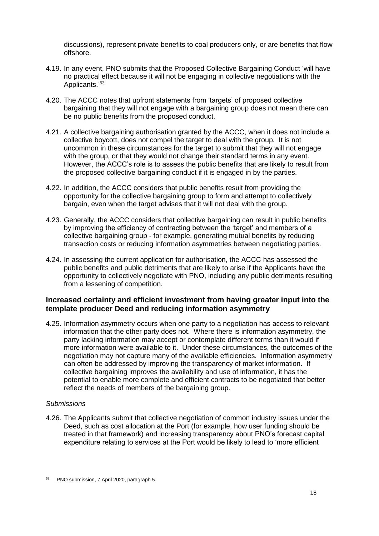discussions), represent private benefits to coal producers only, or are benefits that flow offshore.

- 4.19. In any event, PNO submits that the Proposed Collective Bargaining Conduct 'will have no practical effect because it will not be engaging in collective negotiations with the Applicants.'53
- 4.20. The ACCC notes that upfront statements from 'targets' of proposed collective bargaining that they will not engage with a bargaining group does not mean there can be no public benefits from the proposed conduct.
- 4.21. A collective bargaining authorisation granted by the ACCC, when it does not include a collective boycott, does not compel the target to deal with the group. It is not uncommon in these circumstances for the target to submit that they will not engage with the group, or that they would not change their standard terms in any event. However, the ACCC's role is to assess the public benefits that are likely to result from the proposed collective bargaining conduct if it is engaged in by the parties.
- 4.22. In addition, the ACCC considers that public benefits result from providing the opportunity for the collective bargaining group to form and attempt to collectively bargain, even when the target advises that it will not deal with the group.
- 4.23. Generally, the ACCC considers that collective bargaining can result in public benefits by improving the efficiency of contracting between the 'target' and members of a collective bargaining group - for example, generating mutual benefits by reducing transaction costs or reducing information asymmetries between negotiating parties.
- 4.24. In assessing the current application for authorisation, the ACCC has assessed the public benefits and public detriments that are likely to arise if the Applicants have the opportunity to collectively negotiate with PNO, including any public detriments resulting from a lessening of competition.

#### **Increased certainty and efficient investment from having greater input into the template producer Deed and reducing information asymmetry**

4.25. Information asymmetry occurs when one party to a negotiation has access to relevant information that the other party does not. Where there is information asymmetry, the party lacking information may accept or contemplate different terms than it would if more information were available to it. Under these circumstances, the outcomes of the negotiation may not capture many of the available efficiencies. Information asymmetry can often be addressed by improving the transparency of market information. If collective bargaining improves the availability and use of information, it has the potential to enable more complete and efficient contracts to be negotiated that better reflect the needs of members of the bargaining group.

#### *Submissions*

-

4.26. The Applicants submit that collective negotiation of common industry issues under the Deed, such as cost allocation at the Port (for example, how user funding should be treated in that framework) and increasing transparency about PNO's forecast capital expenditure relating to services at the Port would be likely to lead to 'more efficient

<sup>53</sup> PNO submission, 7 April 2020, paragraph 5.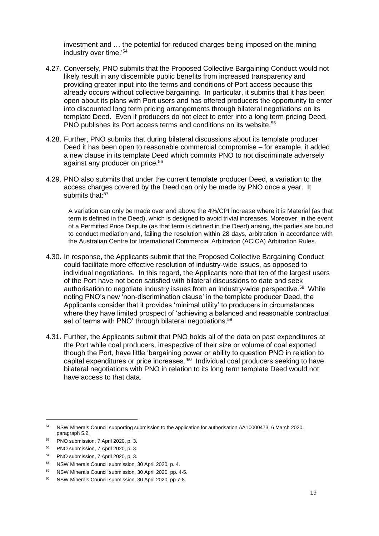investment and … the potential for reduced charges being imposed on the mining industry over time.'<sup>54</sup>

- 4.27. Conversely, PNO submits that the Proposed Collective Bargaining Conduct would not likely result in any discernible public benefits from increased transparency and providing greater input into the terms and conditions of Port access because this already occurs without collective bargaining. In particular, it submits that it has been open about its plans with Port users and has offered producers the opportunity to enter into discounted long term pricing arrangements through bilateral negotiations on its template Deed. Even if producers do not elect to enter into a long term pricing Deed, PNO publishes its Port access terms and conditions on its website.<sup>55</sup>
- 4.28. Further, PNO submits that during bilateral discussions about its template producer Deed it has been open to reasonable commercial compromise – for example, it added a new clause in its template Deed which commits PNO to not discriminate adversely against any producer on price.<sup>56</sup>
- 4.29. PNO also submits that under the current template producer Deed, a variation to the access charges covered by the Deed can only be made by PNO once a year. It submits that:<sup>57</sup>

A variation can only be made over and above the 4%/CPI increase where it is Material (as that term is defined in the Deed), which is designed to avoid trivial increases. Moreover, in the event of a Permitted Price Dispute (as that term is defined in the Deed) arising, the parties are bound to conduct mediation and, failing the resolution within 28 days, arbitration in accordance with the Australian Centre for International Commercial Arbitration (ACICA) Arbitration Rules.

- 4.30. In response, the Applicants submit that the Proposed Collective Bargaining Conduct could facilitate more effective resolution of industry-wide issues, as opposed to individual negotiations. In this regard, the Applicants note that ten of the largest users of the Port have not been satisfied with bilateral discussions to date and seek authorisation to negotiate industry issues from an industry-wide perspective.<sup>58</sup> While noting PNO's new 'non-discrimination clause' in the template producer Deed, the Applicants consider that it provides 'minimal utility' to producers in circumstances where they have limited prospect of 'achieving a balanced and reasonable contractual set of terms with PNO' through bilateral negotiations.<sup>59</sup>
- 4.31. Further, the Applicants submit that PNO holds all of the data on past expenditures at the Port while coal producers, irrespective of their size or volume of coal exported though the Port, have little 'bargaining power or ability to question PNO in relation to capital expenditures or price increases.<sup>80</sup> Individual coal producers seeking to have bilateral negotiations with PNO in relation to its long term template Deed would not have access to that data.

<sup>54</sup> NSW Minerals Council supporting submission to the application for authorisation AA10000473, 6 March 2020, paragraph 5.2.

<sup>55</sup> PNO submission, 7 April 2020, p. 3.

<sup>56</sup> PNO submission, 7 April 2020, p. 3.

<sup>57</sup> PNO submission, 7 April 2020, p. 3.

<sup>58</sup> NSW Minerals Council submission, 30 April 2020, p. 4.

<sup>59</sup> NSW Minerals Council submission, 30 April 2020, pp. 4-5.

<sup>60</sup> NSW Minerals Council submission, 30 April 2020, pp 7-8.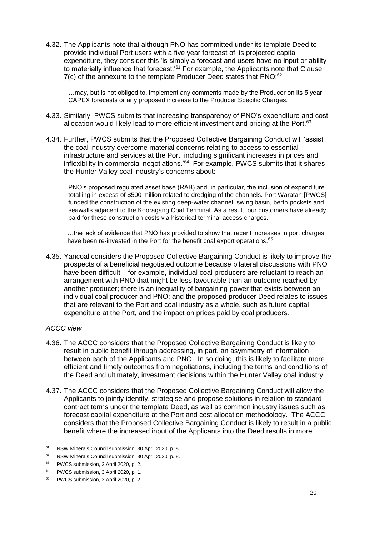4.32. The Applicants note that although PNO has committed under its template Deed to provide individual Port users with a five year forecast of its projected capital expenditure, they consider this 'is simply a forecast and users have no input or ability to materially influence that forecast.<sup>'61</sup> For example, the Applicants note that Clause 7(c) of the annexure to the template Producer Deed states that PNO:<sup>62</sup>

…may, but is not obliged to, implement any comments made by the Producer on its 5 year CAPEX forecasts or any proposed increase to the Producer Specific Charges.

- 4.33. Similarly, PWCS submits that increasing transparency of PNO's expenditure and cost allocation would likely lead to more efficient investment and pricing at the Port.<sup>63</sup>
- 4.34. Further, PWCS submits that the Proposed Collective Bargaining Conduct will 'assist the coal industry overcome material concerns relating to access to essential infrastructure and services at the Port, including significant increases in prices and inflexibility in commercial negotiations.'<sup>64</sup> For example, PWCS submits that it shares the Hunter Valley coal industry's concerns about:

PNO's proposed regulated asset base (RAB) and, in particular, the inclusion of expenditure totalling in excess of \$500 million related to dredging of the channels. Port Waratah [PWCS] funded the construction of the existing deep-water channel, swing basin, berth pockets and seawalls adjacent to the Kooragang Coal Terminal. As a result, our customers have already paid for these construction costs via historical terminal access charges.

…the lack of evidence that PNO has provided to show that recent increases in port charges have been re-invested in the Port for the benefit coal export operations.<sup>65</sup>

4.35. Yancoal considers the Proposed Collective Bargaining Conduct is likely to improve the prospects of a beneficial negotiated outcome because bilateral discussions with PNO have been difficult – for example, individual coal producers are reluctant to reach an arrangement with PNO that might be less favourable than an outcome reached by another producer; there is an inequality of bargaining power that exists between an individual coal producer and PNO; and the proposed producer Deed relates to issues that are relevant to the Port and coal industry as a whole, such as future capital expenditure at the Port, and the impact on prices paid by coal producers.

#### *ACCC view*

- 4.36. The ACCC considers that the Proposed Collective Bargaining Conduct is likely to result in public benefit through addressing, in part, an asymmetry of information between each of the Applicants and PNO. In so doing, this is likely to facilitate more efficient and timely outcomes from negotiations, including the terms and conditions of the Deed and ultimately, investment decisions within the Hunter Valley coal industry.
- 4.37. The ACCC considers that the Proposed Collective Bargaining Conduct will allow the Applicants to jointly identify, strategise and propose solutions in relation to standard contract terms under the template Deed, as well as common industry issues such as forecast capital expenditure at the Port and cost allocation methodology. The ACCC considers that the Proposed Collective Bargaining Conduct is likely to result in a public benefit where the increased input of the Applicants into the Deed results in more

<sup>61</sup> NSW Minerals Council submission, 30 April 2020, p. 8.

<sup>62</sup> NSW Minerals Council submission, 30 April 2020, p. 8.

<sup>63</sup> PWCS submission, 3 April 2020, p. 2.

<sup>64</sup> PWCS submission, 3 April 2020, p. 1.

<sup>65</sup> PWCS submission, 3 April 2020, p. 2.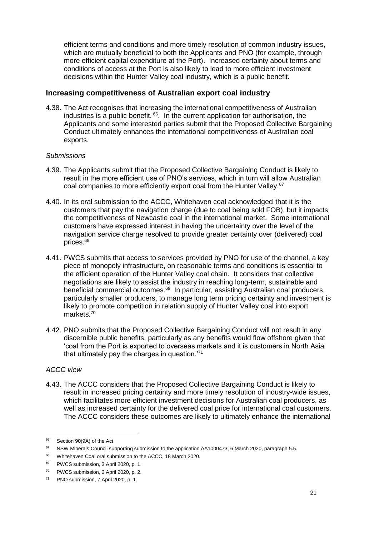efficient terms and conditions and more timely resolution of common industry issues, which are mutually beneficial to both the Applicants and PNO (for example, through more efficient capital expenditure at the Port). Increased certainty about terms and conditions of access at the Port is also likely to lead to more efficient investment decisions within the Hunter Valley coal industry, which is a public benefit.

#### **Increasing competitiveness of Australian export coal industry**

4.38. The Act recognises that increasing the international competitiveness of Australian industries is a public benefit. <sup>66</sup>. In the current application for authorisation, the Applicants and some interested parties submit that the Proposed Collective Bargaining Conduct ultimately enhances the international competitiveness of Australian coal exports.

#### *Submissions*

- 4.39. The Applicants submit that the Proposed Collective Bargaining Conduct is likely to result in the more efficient use of PNO's services, which in turn will allow Australian coal companies to more efficiently export coal from the Hunter Valley.<sup>67</sup>
- 4.40. In its oral submission to the ACCC, Whitehaven coal acknowledged that it is the customers that pay the navigation charge (due to coal being sold FOB), but it impacts the competitiveness of Newcastle coal in the international market. Some international customers have expressed interest in having the uncertainty over the level of the navigation service charge resolved to provide greater certainty over (delivered) coal prices.<sup>68</sup>
- 4.41. PWCS submits that access to services provided by PNO for use of the channel, a key piece of monopoly infrastructure, on reasonable terms and conditions is essential to the efficient operation of the Hunter Valley coal chain. It considers that collective negotiations are likely to assist the industry in reaching long-term, sustainable and beneficial commercial outcomes.<sup>69</sup> In particular, assisting Australian coal producers, particularly smaller producers, to manage long term pricing certainty and investment is likely to promote competition in relation supply of Hunter Valley coal into export markets.<sup>70</sup>
- 4.42. PNO submits that the Proposed Collective Bargaining Conduct will not result in any discernible public benefits, particularly as any benefits would flow offshore given that 'coal from the Port is exported to overseas markets and it is customers in North Asia that ultimately pay the charges in question.'<sup>71</sup>

#### *ACCC view*

-

4.43. The ACCC considers that the Proposed Collective Bargaining Conduct is likely to result in increased pricing certainty and more timely resolution of industry-wide issues, which facilitates more efficient investment decisions for Australian coal producers, as well as increased certainty for the delivered coal price for international coal customers. The ACCC considers these outcomes are likely to ultimately enhance the international

<sup>66</sup> Section 90(9A) of the Act

<sup>&</sup>lt;sup>67</sup> NSW Minerals Council supporting submission to the application AA1000473, 6 March 2020, paragraph 5.5.

<sup>68</sup> Whitehaven Coal oral submission to the ACCC, 18 March 2020.

<sup>69</sup> PWCS submission, 3 April 2020, p. 1.

<sup>70</sup> PWCS submission, 3 April 2020, p. 2.

<sup>71</sup> PNO submission, 7 April 2020, p. 1.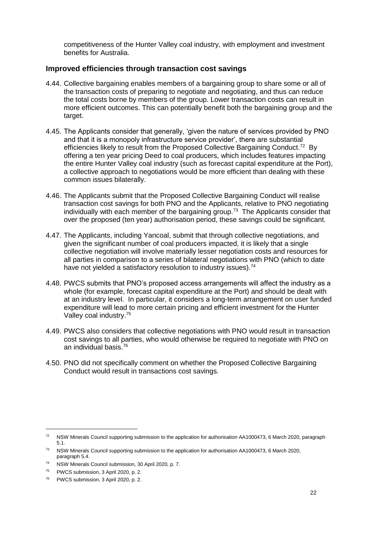competitiveness of the Hunter Valley coal industry, with employment and investment benefits for Australia.

#### **Improved efficiencies through transaction cost savings**

- 4.44. Collective bargaining enables members of a bargaining group to share some or all of the transaction costs of preparing to negotiate and negotiating, and thus can reduce the total costs borne by members of the group. Lower transaction costs can result in more efficient outcomes. This can potentially benefit both the bargaining group and the target.
- 4.45. The Applicants consider that generally, 'given the nature of services provided by PNO and that it is a monopoly infrastructure service provider', there are substantial efficiencies likely to result from the Proposed Collective Bargaining Conduct.<sup>72</sup> By offering a ten year pricing Deed to coal producers, which includes features impacting the entire Hunter Valley coal industry (such as forecast capital expenditure at the Port), a collective approach to negotiations would be more efficient than dealing with these common issues bilaterally.
- 4.46. The Applicants submit that the Proposed Collective Bargaining Conduct will realise transaction cost savings for both PNO and the Applicants, relative to PNO negotiating individually with each member of the bargaining group.<sup>73</sup> The Applicants consider that over the proposed (ten year) authorisation period, these savings could be significant.
- 4.47. The Applicants, including Yancoal, submit that through collective negotiations, and given the significant number of coal producers impacted, it is likely that a single collective negotiation will involve materially lesser negotiation costs and resources for all parties in comparison to a series of bilateral negotiations with PNO (which to date have not yielded a satisfactory resolution to industry issues).<sup>74</sup>
- 4.48. PWCS submits that PNO's proposed access arrangements will affect the industry as a whole (for example, forecast capital expenditure at the Port) and should be dealt with at an industry level. In particular, it considers a long-term arrangement on user funded expenditure will lead to more certain pricing and efficient investment for the Hunter Valley coal industry.<sup>75</sup>
- 4.49. PWCS also considers that collective negotiations with PNO would result in transaction cost savings to all parties, who would otherwise be required to negotiate with PNO on an individual basis.<sup>76</sup>
- 4.50. PNO did not specifically comment on whether the Proposed Collective Bargaining Conduct would result in transactions cost savings.

<sup>72</sup> NSW Minerals Council supporting submission to the application for authorisation AA1000473, 6 March 2020, paragraph 5.1.

<sup>&</sup>lt;sup>73</sup> NSW Minerals Council supporting submission to the application for authorisation AA1000473, 6 March 2020, paragraph 5.4.

<sup>74</sup> NSW Minerals Council submission, 30 April 2020, p. 7.

<sup>75</sup> PWCS submission, 3 April 2020, p. 2.

<sup>76</sup> PWCS submission, 3 April 2020, p. 2.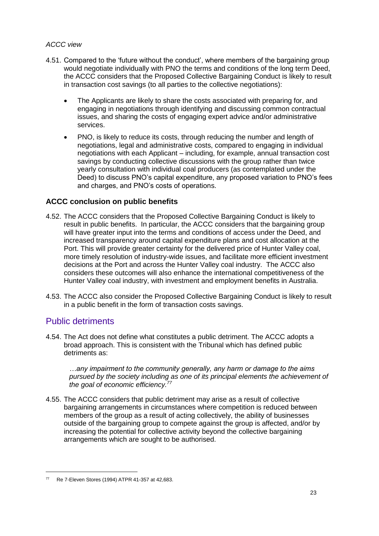#### *ACCC view*

- 4.51. Compared to the 'future without the conduct', where members of the bargaining group would negotiate individually with PNO the terms and conditions of the long term Deed, the ACCC considers that the Proposed Collective Bargaining Conduct is likely to result in transaction cost savings (to all parties to the collective negotiations):
	- The Applicants are likely to share the costs associated with preparing for, and engaging in negotiations through identifying and discussing common contractual issues, and sharing the costs of engaging expert advice and/or administrative services.
	- PNO, is likely to reduce its costs, through reducing the number and length of negotiations, legal and administrative costs, compared to engaging in individual negotiations with each Applicant – including, for example, annual transaction cost savings by conducting collective discussions with the group rather than twice yearly consultation with individual coal producers (as contemplated under the Deed) to discuss PNO's capital expenditure, any proposed variation to PNO's fees and charges, and PNO's costs of operations.

#### **ACCC conclusion on public benefits**

- 4.52. The ACCC considers that the Proposed Collective Bargaining Conduct is likely to result in public benefits. In particular, the ACCC considers that the bargaining group will have greater input into the terms and conditions of access under the Deed, and increased transparency around capital expenditure plans and cost allocation at the Port. This will provide greater certainty for the delivered price of Hunter Valley coal, more timely resolution of industry-wide issues, and facilitate more efficient investment decisions at the Port and across the Hunter Valley coal industry.The ACCC also considers these outcomes will also enhance the international competitiveness of the Hunter Valley coal industry, with investment and employment benefits in Australia.
- 4.53. The ACCC also consider the Proposed Collective Bargaining Conduct is likely to result in a public benefit in the form of transaction costs savings.

## Public detriments

-

4.54. The Act does not define what constitutes a public detriment. The ACCC adopts a broad approach. This is consistent with the Tribunal which has defined public detriments as:

*…any impairment to the community generally, any harm or damage to the aims pursued by the society including as one of its principal elements the achievement of the goal of economic efficiency.<sup>77</sup>*

4.55. The ACCC considers that public detriment may arise as a result of collective bargaining arrangements in circumstances where competition is reduced between members of the group as a result of acting collectively, the ability of businesses outside of the bargaining group to compete against the group is affected, and/or by increasing the potential for collective activity beyond the collective bargaining arrangements which are sought to be authorised.

<sup>77</sup> Re 7-Eleven Stores (1994) ATPR 41-357 at 42,683.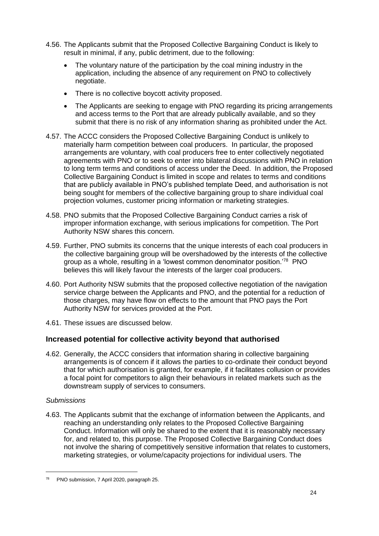- 4.56. The Applicants submit that the Proposed Collective Bargaining Conduct is likely to result in minimal, if any, public detriment, due to the following:
	- The voluntary nature of the participation by the coal mining industry in the application, including the absence of any requirement on PNO to collectively negotiate.
	- There is no collective boycott activity proposed.
	- The Applicants are seeking to engage with PNO regarding its pricing arrangements and access terms to the Port that are already publically available, and so they submit that there is no risk of any information sharing as prohibited under the Act.
- 4.57. The ACCC considers the Proposed Collective Bargaining Conduct is unlikely to materially harm competition between coal producers. In particular, the proposed arrangements are voluntary, with coal producers free to enter collectively negotiated agreements with PNO or to seek to enter into bilateral discussions with PNO in relation to long term terms and conditions of access under the Deed. In addition, the Proposed Collective Bargaining Conduct is limited in scope and relates to terms and conditions that are publicly available in PNO's published template Deed, and authorisation is not being sought for members of the collective bargaining group to share individual coal projection volumes, customer pricing information or marketing strategies.
- 4.58. PNO submits that the Proposed Collective Bargaining Conduct carries a risk of improper information exchange, with serious implications for competition. The Port Authority NSW shares this concern.
- 4.59. Further, PNO submits its concerns that the unique interests of each coal producers in the collective bargaining group will be overshadowed by the interests of the collective group as a whole, resulting in a 'lowest common denominator position.'<sup>78</sup> PNO believes this will likely favour the interests of the larger coal producers.
- 4.60. Port Authority NSW submits that the proposed collective negotiation of the navigation service charge between the Applicants and PNO, and the potential for a reduction of those charges, may have flow on effects to the amount that PNO pays the Port Authority NSW for services provided at the Port.
- 4.61. These issues are discussed below.

#### **Increased potential for collective activity beyond that authorised**

4.62. Generally, the ACCC considers that information sharing in collective bargaining arrangements is of concern if it allows the parties to co-ordinate their conduct beyond that for which authorisation is granted, for example, if it facilitates collusion or provides a focal point for competitors to align their behaviours in related markets such as the downstream supply of services to consumers.

#### *Submissions*

-

4.63. The Applicants submit that the exchange of information between the Applicants, and reaching an understanding only relates to the Proposed Collective Bargaining Conduct. Information will only be shared to the extent that it is reasonably necessary for, and related to, this purpose. The Proposed Collective Bargaining Conduct does not involve the sharing of competitively sensitive information that relates to customers, marketing strategies, or volume/capacity projections for individual users. The

<sup>78</sup> PNO submission, 7 April 2020, paragraph 25.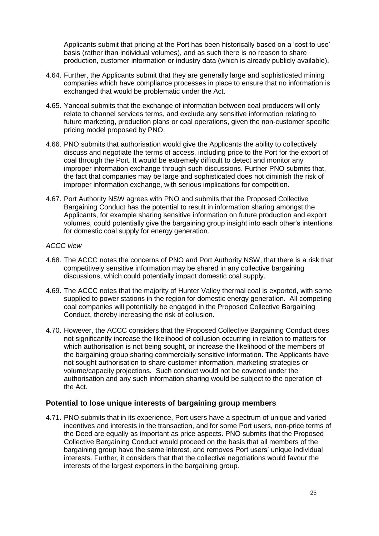Applicants submit that pricing at the Port has been historically based on a 'cost to use' basis (rather than individual volumes), and as such there is no reason to share production, customer information or industry data (which is already publicly available).

- 4.64. Further, the Applicants submit that they are generally large and sophisticated mining companies which have compliance processes in place to ensure that no information is exchanged that would be problematic under the Act.
- 4.65. Yancoal submits that the exchange of information between coal producers will only relate to channel services terms, and exclude any sensitive information relating to future marketing, production plans or coal operations, given the non-customer specific pricing model proposed by PNO.
- 4.66. PNO submits that authorisation would give the Applicants the ability to collectively discuss and negotiate the terms of access, including price to the Port for the export of coal through the Port. It would be extremely difficult to detect and monitor any improper information exchange through such discussions. Further PNO submits that, the fact that companies may be large and sophisticated does not diminish the risk of improper information exchange, with serious implications for competition.
- 4.67. Port Authority NSW agrees with PNO and submits that the Proposed Collective Bargaining Conduct has the potential to result in information sharing amongst the Applicants, for example sharing sensitive information on future production and export volumes, could potentially give the bargaining group insight into each other's intentions for domestic coal supply for energy generation.

#### *ACCC view*

- 4.68. The ACCC notes the concerns of PNO and Port Authority NSW, that there is a risk that competitively sensitive information may be shared in any collective bargaining discussions, which could potentially impact domestic coal supply.
- 4.69. The ACCC notes that the majority of Hunter Valley thermal coal is exported, with some supplied to power stations in the region for domestic energy generation. All competing coal companies will potentially be engaged in the Proposed Collective Bargaining Conduct, thereby increasing the risk of collusion.
- 4.70. However, the ACCC considers that the Proposed Collective Bargaining Conduct does not significantly increase the likelihood of collusion occurring in relation to matters for which authorisation is not being sought, or increase the likelihood of the members of the bargaining group sharing commercially sensitive information. The Applicants have not sought authorisation to share customer information, marketing strategies or volume/capacity projections. Such conduct would not be covered under the authorisation and any such information sharing would be subject to the operation of the Act.

#### **Potential to lose unique interests of bargaining group members**

4.71. PNO submits that in its experience, Port users have a spectrum of unique and varied incentives and interests in the transaction, and for some Port users, non-price terms of the Deed are equally as important as price aspects. PNO submits that the Proposed Collective Bargaining Conduct would proceed on the basis that all members of the bargaining group have the same interest, and removes Port users' unique individual interests. Further, it considers that that the collective negotiations would favour the interests of the largest exporters in the bargaining group.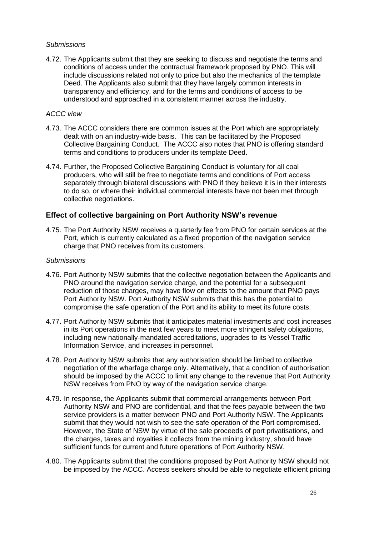#### *Submissions*

4.72. The Applicants submit that they are seeking to discuss and negotiate the terms and conditions of access under the contractual framework proposed by PNO. This will include discussions related not only to price but also the mechanics of the template Deed. The Applicants also submit that they have largely common interests in transparency and efficiency, and for the terms and conditions of access to be understood and approached in a consistent manner across the industry.

#### *ACCC view*

- 4.73. The ACCC considers there are common issues at the Port which are appropriately dealt with on an industry-wide basis. This can be facilitated by the Proposed Collective Bargaining Conduct. The ACCC also notes that PNO is offering standard terms and conditions to producers under its template Deed.
- 4.74. Further, the Proposed Collective Bargaining Conduct is voluntary for all coal producers, who will still be free to negotiate terms and conditions of Port access separately through bilateral discussions with PNO if they believe it is in their interests to do so, or where their individual commercial interests have not been met through collective negotiations.

#### **Effect of collective bargaining on Port Authority NSW's revenue**

4.75. The Port Authority NSW receives a quarterly fee from PNO for certain services at the Port, which is currently calculated as a fixed proportion of the navigation service charge that PNO receives from its customers.

#### *Submissions*

- 4.76. Port Authority NSW submits that the collective negotiation between the Applicants and PNO around the navigation service charge, and the potential for a subsequent reduction of those charges, may have flow on effects to the amount that PNO pays Port Authority NSW. Port Authority NSW submits that this has the potential to compromise the safe operation of the Port and its ability to meet its future costs.
- 4.77. Port Authority NSW submits that it anticipates material investments and cost increases in its Port operations in the next few years to meet more stringent safety obligations, including new nationally-mandated accreditations, upgrades to its Vessel Traffic Information Service, and increases in personnel.
- 4.78. Port Authority NSW submits that any authorisation should be limited to collective negotiation of the wharfage charge only. Alternatively, that a condition of authorisation should be imposed by the ACCC to limit any change to the revenue that Port Authority NSW receives from PNO by way of the navigation service charge.
- 4.79. In response, the Applicants submit that commercial arrangements between Port Authority NSW and PNO are confidential, and that the fees payable between the two service providers is a matter between PNO and Port Authority NSW. The Applicants submit that they would not wish to see the safe operation of the Port compromised. However, the State of NSW by virtue of the sale proceeds of port privatisations, and the charges, taxes and royalties it collects from the mining industry, should have sufficient funds for current and future operations of Port Authority NSW.
- 4.80. The Applicants submit that the conditions proposed by Port Authority NSW should not be imposed by the ACCC. Access seekers should be able to negotiate efficient pricing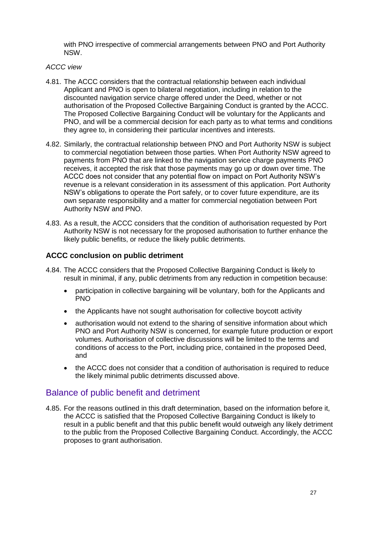with PNO irrespective of commercial arrangements between PNO and Port Authority NSW.

#### *ACCC view*

- 4.81. The ACCC considers that the contractual relationship between each individual Applicant and PNO is open to bilateral negotiation, including in relation to the discounted navigation service charge offered under the Deed, whether or not authorisation of the Proposed Collective Bargaining Conduct is granted by the ACCC. The Proposed Collective Bargaining Conduct will be voluntary for the Applicants and PNO, and will be a commercial decision for each party as to what terms and conditions they agree to, in considering their particular incentives and interests.
- 4.82. Similarly, the contractual relationship between PNO and Port Authority NSW is subject to commercial negotiation between those parties. When Port Authority NSW agreed to payments from PNO that are linked to the navigation service charge payments PNO receives, it accepted the risk that those payments may go up or down over time. The ACCC does not consider that any potential flow on impact on Port Authority NSW's revenue is a relevant consideration in its assessment of this application. Port Authority NSW's obligations to operate the Port safely, or to cover future expenditure, are its own separate responsibility and a matter for commercial negotiation between Port Authority NSW and PNO.
- 4.83. As a result, the ACCC considers that the condition of authorisation requested by Port Authority NSW is not necessary for the proposed authorisation to further enhance the likely public benefits, or reduce the likely public detriments.

#### **ACCC conclusion on public detriment**

- 4.84. The ACCC considers that the Proposed Collective Bargaining Conduct is likely to result in minimal, if any, public detriments from any reduction in competition because:
	- participation in collective bargaining will be voluntary, both for the Applicants and PNO
	- the Applicants have not sought authorisation for collective boycott activity
	- authorisation would not extend to the sharing of sensitive information about which PNO and Port Authority NSW is concerned, for example future production or export volumes. Authorisation of collective discussions will be limited to the terms and conditions of access to the Port, including price, contained in the proposed Deed, and
	- the ACCC does not consider that a condition of authorisation is required to reduce the likely minimal public detriments discussed above.

## Balance of public benefit and detriment

4.85. For the reasons outlined in this draft determination, based on the information before it, the ACCC is satisfied that the Proposed Collective Bargaining Conduct is likely to result in a public benefit and that this public benefit would outweigh any likely detriment to the public from the Proposed Collective Bargaining Conduct. Accordingly, the ACCC proposes to grant authorisation.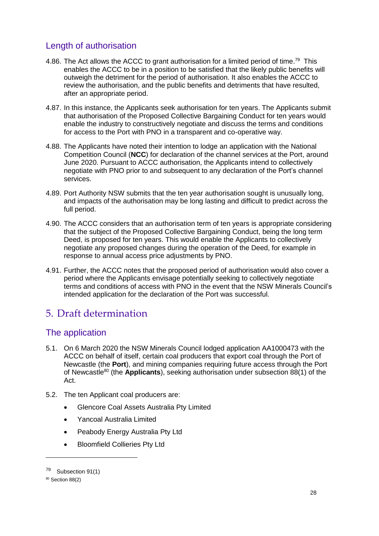# Length of authorisation

- 4.86. The Act allows the ACCC to grant authorisation for a limited period of time.<sup>79</sup> This enables the ACCC to be in a position to be satisfied that the likely public benefits will outweigh the detriment for the period of authorisation. It also enables the ACCC to review the authorisation, and the public benefits and detriments that have resulted, after an appropriate period.
- 4.87. In this instance, the Applicants seek authorisation for ten years. The Applicants submit that authorisation of the Proposed Collective Bargaining Conduct for ten years would enable the industry to constructively negotiate and discuss the terms and conditions for access to the Port with PNO in a transparent and co-operative way.
- 4.88. The Applicants have noted their intention to lodge an application with the National Competition Council (**NCC**) for declaration of the channel services at the Port, around June 2020. Pursuant to ACCC authorisation, the Applicants intend to collectively negotiate with PNO prior to and subsequent to any declaration of the Port's channel services.
- 4.89. Port Authority NSW submits that the ten year authorisation sought is unusually long, and impacts of the authorisation may be long lasting and difficult to predict across the full period.
- 4.90. The ACCC considers that an authorisation term of ten years is appropriate considering that the subject of the Proposed Collective Bargaining Conduct, being the long term Deed, is proposed for ten years. This would enable the Applicants to collectively negotiate any proposed changes during the operation of the Deed, for example in response to annual access price adjustments by PNO.
- 4.91. Further, the ACCC notes that the proposed period of authorisation would also cover a period where the Applicants envisage potentially seeking to collectively negotiate terms and conditions of access with PNO in the event that the NSW Minerals Council's intended application for the declaration of the Port was successful.

# 5. Draft determination

# The application

- 5.1. On 6 March 2020 the NSW Minerals Council lodged application AA1000473 with the ACCC on behalf of itself, certain coal producers that export coal through the Port of Newcastle (the **Port**), and mining companies requiring future access through the Port of Newcastle<sup>80</sup> (the **Applicants**), seeking authorisation under subsection 88(1) of the Act.
- 5.2. The ten Applicant coal producers are:
	- Glencore Coal Assets Australia Pty Limited
	- Yancoal Australia Limited
	- Peabody Energy Australia Pty Ltd
	- Bloomfield Collieries Pty Ltd

<sup>79</sup> Subsection 91(1)

<sup>80</sup> Section 88(2)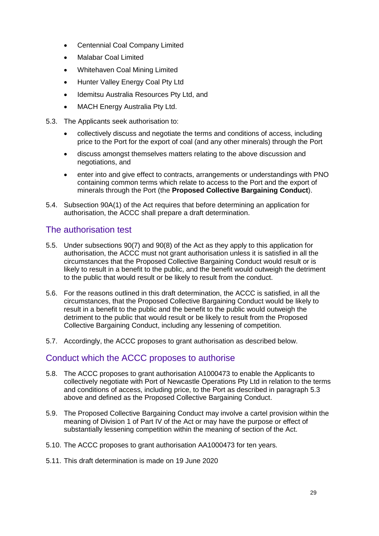- Centennial Coal Company Limited
- Malabar Coal Limited
- Whitehaven Coal Mining Limited
- Hunter Valley Energy Coal Pty Ltd
- Idemitsu Australia Resources Pty Ltd, and
- MACH Energy Australia Pty Ltd.
- <span id="page-29-0"></span>5.3. The Applicants seek authorisation to:
	- collectively discuss and negotiate the terms and conditions of access, including price to the Port for the export of coal (and any other minerals) through the Port
	- discuss amongst themselves matters relating to the above discussion and negotiations, and
	- enter into and give effect to contracts, arrangements or understandings with PNO containing common terms which relate to access to the Port and the export of minerals through the Port (the **Proposed Collective Bargaining Conduct**).
- 5.4. Subsection 90A(1) of the Act requires that before determining an application for authorisation, the ACCC shall prepare a draft determination.

## The authorisation test

- 5.5. Under subsections 90(7) and 90(8) of the Act as they apply to this application for authorisation, the ACCC must not grant authorisation unless it is satisfied in all the circumstances that the Proposed Collective Bargaining Conduct would result or is likely to result in a benefit to the public, and the benefit would outweigh the detriment to the public that would result or be likely to result from the conduct.
- 5.6. For the reasons outlined in this draft determination, the ACCC is satisfied, in all the circumstances, that the Proposed Collective Bargaining Conduct would be likely to result in a benefit to the public and the benefit to the public would outweigh the detriment to the public that would result or be likely to result from the Proposed Collective Bargaining Conduct, including any lessening of competition.
- 5.7. Accordingly, the ACCC proposes to grant authorisation as described below.

## Conduct which the ACCC proposes to authorise

- 5.8. The ACCC proposes to grant authorisation A1000473 to enable the Applicants to collectively negotiate with Port of Newcastle Operations Pty Ltd in relation to the terms and conditions of access, including price, to the Port as described in paragraph [5.3](#page-29-0) above and defined as the Proposed Collective Bargaining Conduct.
- 5.9. The Proposed Collective Bargaining Conduct may involve a cartel provision within the meaning of Division 1 of Part IV of the Act or may have the purpose or effect of substantially lessening competition within the meaning of section of the Act.
- 5.10. The ACCC proposes to grant authorisation AA1000473 for ten years.
- 5.11. This draft determination is made on 19 June 2020